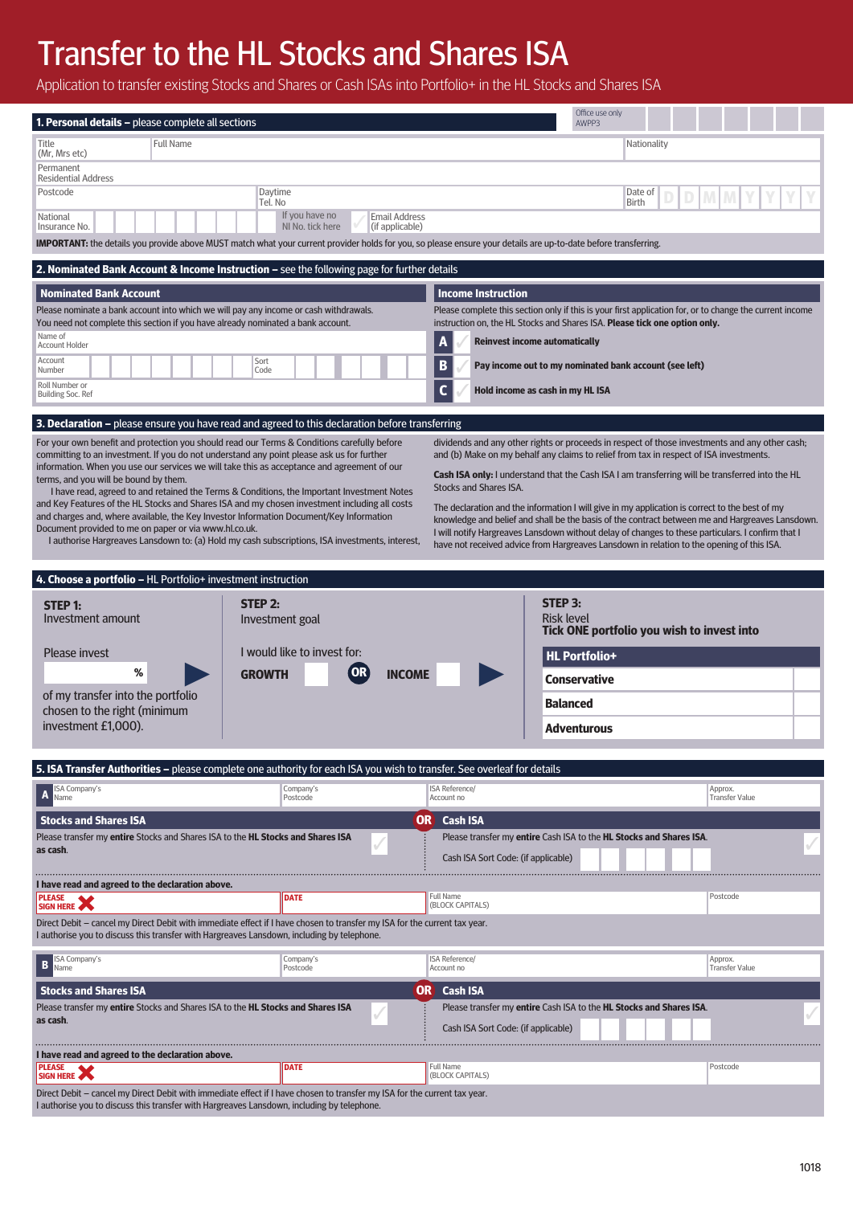# Transfer to the HL Stocks and Shares ISA

Application to transfer existing Stocks and Shares or Cash ISAs into Portfolio+ in the HL Stocks and Shares ISA

| <b>1. Personal details - please complete all sections</b>                                                                                                                                                                                                                                                                                                                                                                             |                                                                                                                                                                                                                                                                                              |                                                                                                                                                                                        | Office use only<br>AWPP3                                                                                                                                                                       |                                  |  |
|---------------------------------------------------------------------------------------------------------------------------------------------------------------------------------------------------------------------------------------------------------------------------------------------------------------------------------------------------------------------------------------------------------------------------------------|----------------------------------------------------------------------------------------------------------------------------------------------------------------------------------------------------------------------------------------------------------------------------------------------|----------------------------------------------------------------------------------------------------------------------------------------------------------------------------------------|------------------------------------------------------------------------------------------------------------------------------------------------------------------------------------------------|----------------------------------|--|
| <b>Full Name</b><br>Title<br>(Mr, Mrs etc)                                                                                                                                                                                                                                                                                                                                                                                            |                                                                                                                                                                                                                                                                                              |                                                                                                                                                                                        | Nationality                                                                                                                                                                                    |                                  |  |
| Permanent<br><b>Residential Address</b>                                                                                                                                                                                                                                                                                                                                                                                               |                                                                                                                                                                                                                                                                                              |                                                                                                                                                                                        |                                                                                                                                                                                                |                                  |  |
| Postcode<br>Daytime<br>Tel. No                                                                                                                                                                                                                                                                                                                                                                                                        |                                                                                                                                                                                                                                                                                              |                                                                                                                                                                                        | Date of<br><b>Birth</b>                                                                                                                                                                        |                                  |  |
| National<br>Insurance No.                                                                                                                                                                                                                                                                                                                                                                                                             | If you have no<br><b>Email Address</b><br>NI No. tick here<br>(if applicable)                                                                                                                                                                                                                |                                                                                                                                                                                        |                                                                                                                                                                                                |                                  |  |
| IMPORTANT: the details you provide above MUST match what your current provider holds for you, so please ensure your details are up-to-date before transferring.                                                                                                                                                                                                                                                                       |                                                                                                                                                                                                                                                                                              |                                                                                                                                                                                        |                                                                                                                                                                                                |                                  |  |
| 2. Nominated Bank Account & Income Instruction - see the following page for further details                                                                                                                                                                                                                                                                                                                                           |                                                                                                                                                                                                                                                                                              |                                                                                                                                                                                        |                                                                                                                                                                                                |                                  |  |
| <b>Nominated Bank Account</b>                                                                                                                                                                                                                                                                                                                                                                                                         |                                                                                                                                                                                                                                                                                              | Income Instruction                                                                                                                                                                     |                                                                                                                                                                                                |                                  |  |
| Please nominate a bank account into which we will pay any income or cash withdrawals.<br>You need not complete this section if you have already nominated a bank account.                                                                                                                                                                                                                                                             |                                                                                                                                                                                                                                                                                              | Please complete this section only if this is your first application for, or to change the current income<br>instruction on, the HL Stocks and Shares ISA. Please tick one option only. |                                                                                                                                                                                                |                                  |  |
| Name of<br><b>Account Holder</b>                                                                                                                                                                                                                                                                                                                                                                                                      |                                                                                                                                                                                                                                                                                              | <b>Reinvest income automatically</b><br>A                                                                                                                                              |                                                                                                                                                                                                |                                  |  |
| Account<br>Sort<br>Number<br>Code                                                                                                                                                                                                                                                                                                                                                                                                     |                                                                                                                                                                                                                                                                                              | B<br>Pay income out to my nominated bank account (see left)                                                                                                                            |                                                                                                                                                                                                |                                  |  |
| Roll Number or<br>Building Soc. Ref                                                                                                                                                                                                                                                                                                                                                                                                   |                                                                                                                                                                                                                                                                                              | $\mathbf c$                                                                                                                                                                            | Hold income as cash in my HL ISA                                                                                                                                                               |                                  |  |
| 3. Declaration - please ensure you have read and agreed to this declaration before transferring                                                                                                                                                                                                                                                                                                                                       |                                                                                                                                                                                                                                                                                              |                                                                                                                                                                                        |                                                                                                                                                                                                |                                  |  |
| For your own benefit and protection you should read our Terms & Conditions carefully before                                                                                                                                                                                                                                                                                                                                           |                                                                                                                                                                                                                                                                                              |                                                                                                                                                                                        | dividends and any other rights or proceeds in respect of those investments and any other cash;                                                                                                 |                                  |  |
| committing to an investment. If you do not understand any point please ask us for further<br>and (b) Make on my behalf any claims to relief from tax in respect of ISA investments.<br>information. When you use our services we will take this as acceptance and agreement of our<br><b>Cash ISA only:</b> I understand that the Cash ISA I am transferring will be transferred into the HL<br>terms, and you will be bound by them. |                                                                                                                                                                                                                                                                                              |                                                                                                                                                                                        |                                                                                                                                                                                                |                                  |  |
| I have read, agreed to and retained the Terms & Conditions, the Important Investment Notes<br>and Key Features of the HL Stocks and Shares ISA and my chosen investment including all costs                                                                                                                                                                                                                                           |                                                                                                                                                                                                                                                                                              | <b>Stocks and Shares ISA.</b>                                                                                                                                                          |                                                                                                                                                                                                |                                  |  |
| Document provided to me on paper or via www.hl.co.uk.                                                                                                                                                                                                                                                                                                                                                                                 | The declaration and the information I will give in my application is correct to the best of my<br>and charges and, where available, the Key Investor Information Document/Key Information<br>knowledge and belief and shall be the basis of the contract between me and Hargreaves Lansdown. |                                                                                                                                                                                        |                                                                                                                                                                                                |                                  |  |
| I authorise Hargreaves Lansdown to: (a) Hold my cash subscriptions, ISA investments, interest,                                                                                                                                                                                                                                                                                                                                        |                                                                                                                                                                                                                                                                                              |                                                                                                                                                                                        | I will notify Hargreaves Lansdown without delay of changes to these particulars. I confirm that I<br>have not received advice from Hargreaves Lansdown in relation to the opening of this ISA. |                                  |  |
|                                                                                                                                                                                                                                                                                                                                                                                                                                       |                                                                                                                                                                                                                                                                                              |                                                                                                                                                                                        |                                                                                                                                                                                                |                                  |  |
|                                                                                                                                                                                                                                                                                                                                                                                                                                       |                                                                                                                                                                                                                                                                                              |                                                                                                                                                                                        |                                                                                                                                                                                                |                                  |  |
| 4. Choose a portfolio - HL Portfolio+ investment instruction<br>STEP 2:<br><b>STEP 1:</b>                                                                                                                                                                                                                                                                                                                                             |                                                                                                                                                                                                                                                                                              |                                                                                                                                                                                        | STEP 3:                                                                                                                                                                                        |                                  |  |
| Investment amount                                                                                                                                                                                                                                                                                                                                                                                                                     | Investment goal                                                                                                                                                                                                                                                                              |                                                                                                                                                                                        | <b>Risk level</b>                                                                                                                                                                              |                                  |  |
| <b>Please invest</b>                                                                                                                                                                                                                                                                                                                                                                                                                  | I would like to invest for:                                                                                                                                                                                                                                                                  |                                                                                                                                                                                        | Tick ONE portfolio you wish to invest into                                                                                                                                                     |                                  |  |
| ℅<br><b>GROWTH</b>                                                                                                                                                                                                                                                                                                                                                                                                                    | OR<br><b>INCOME</b>                                                                                                                                                                                                                                                                          |                                                                                                                                                                                        | <b>HL Portfolio+</b><br><b>Conservative</b>                                                                                                                                                    |                                  |  |
| of my transfer into the portfolio                                                                                                                                                                                                                                                                                                                                                                                                     |                                                                                                                                                                                                                                                                                              |                                                                                                                                                                                        | <b>Balanced</b>                                                                                                                                                                                |                                  |  |
| chosen to the right (minimum<br>investment £1,000).                                                                                                                                                                                                                                                                                                                                                                                   |                                                                                                                                                                                                                                                                                              |                                                                                                                                                                                        | <b>Adventurous</b>                                                                                                                                                                             |                                  |  |
|                                                                                                                                                                                                                                                                                                                                                                                                                                       |                                                                                                                                                                                                                                                                                              |                                                                                                                                                                                        |                                                                                                                                                                                                |                                  |  |
| 5. ISA Transfer Authorities - please complete one authority for each ISA you wish to transfer. See overleaf for details                                                                                                                                                                                                                                                                                                               |                                                                                                                                                                                                                                                                                              |                                                                                                                                                                                        |                                                                                                                                                                                                |                                  |  |
| ISA Company's<br>Name                                                                                                                                                                                                                                                                                                                                                                                                                 | Company's<br>Postcode                                                                                                                                                                                                                                                                        | <b>ISA Reference/</b><br>Account no                                                                                                                                                    |                                                                                                                                                                                                | Approx.<br><b>Transfer Value</b> |  |
| <b>Stocks and Shares ISA</b>                                                                                                                                                                                                                                                                                                                                                                                                          | <b>OR</b>                                                                                                                                                                                                                                                                                    | <b>Cash ISA</b>                                                                                                                                                                        |                                                                                                                                                                                                |                                  |  |
| Please transfer my entire Stocks and Shares ISA to the HL Stocks and Shares ISA<br>as cash.                                                                                                                                                                                                                                                                                                                                           |                                                                                                                                                                                                                                                                                              | Cash ISA Sort Code: (if applicable)                                                                                                                                                    | Please transfer my entire Cash ISA to the HL Stocks and Shares ISA.                                                                                                                            |                                  |  |
|                                                                                                                                                                                                                                                                                                                                                                                                                                       |                                                                                                                                                                                                                                                                                              |                                                                                                                                                                                        |                                                                                                                                                                                                |                                  |  |
| I have read and agreed to the declaration above.<br>SIGN HERE                                                                                                                                                                                                                                                                                                                                                                         | <b>DATE</b>                                                                                                                                                                                                                                                                                  | <b>Full Name</b><br>(BLOCK CAPITALS)                                                                                                                                                   |                                                                                                                                                                                                | Postcode                         |  |
| Direct Debit – cancel my Direct Debit with immediate effect if I have chosen to transfer my ISA for the current tax year.<br>I authorise you to discuss this transfer with Hargreaves Lansdown, including by telephone.                                                                                                                                                                                                               |                                                                                                                                                                                                                                                                                              |                                                                                                                                                                                        |                                                                                                                                                                                                |                                  |  |
| <b>ISA Company's</b><br>B<br>Name                                                                                                                                                                                                                                                                                                                                                                                                     | Company's<br>Postcode                                                                                                                                                                                                                                                                        | <b>ISA Reference/</b><br>Account no                                                                                                                                                    |                                                                                                                                                                                                | Approx.<br><b>Transfer Value</b> |  |
| <b>Stocks and Shares ISA</b>                                                                                                                                                                                                                                                                                                                                                                                                          |                                                                                                                                                                                                                                                                                              | <b>OR</b> Cash ISA                                                                                                                                                                     |                                                                                                                                                                                                |                                  |  |
| Please transfer my entire Stocks and Shares ISA to the <b>HL Stocks and Shares ISA</b><br>as cash.                                                                                                                                                                                                                                                                                                                                    |                                                                                                                                                                                                                                                                                              | Cash ISA Sort Code: (if applicable)                                                                                                                                                    | Please transfer my entire Cash ISA to the HL Stocks and Shares ISA.                                                                                                                            |                                  |  |

|                                                                                                                           | <b>PLEASE</b> | <b>IIDATE</b> | <b>I</b> Full Name<br>(BLOCK CAPITALS) |  |  |
|---------------------------------------------------------------------------------------------------------------------------|---------------|---------------|----------------------------------------|--|--|
| Direct Debit – cancel my Direct Debit with immediate effect if I have chosen to transfer my ISA for the current tax year. |               |               |                                        |  |  |
| I authorise you to discuss this transfer with Hargreaves Lansdown, including by telephone.                                |               |               |                                        |  |  |

Postcode